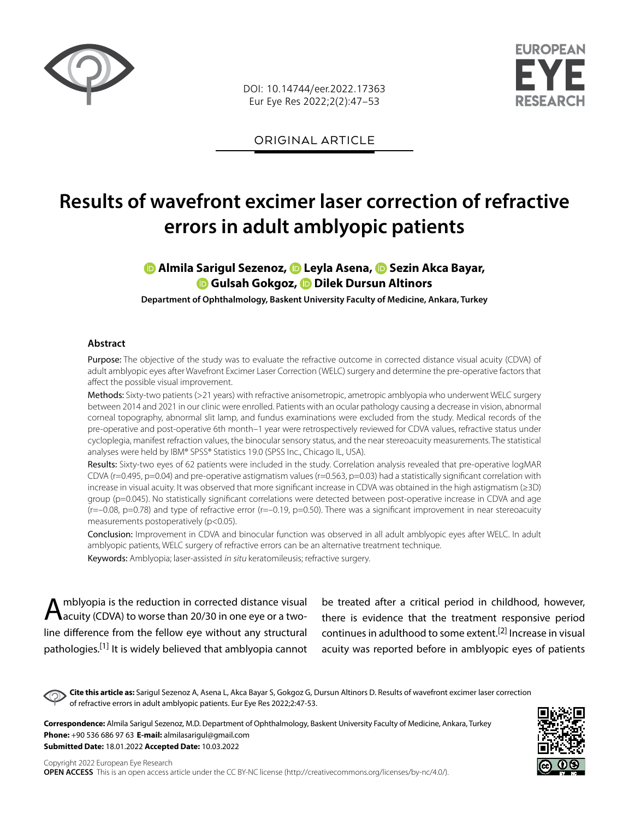

DOI: 10.14744/eer.2022.17363 Eur Eye Res 2022;2(2):47–53



ORIGINAL ARTICLE

# **Results of wavefront excimer laser correction of refractive errors in adult amblyopic patients**

# **Almila Sarigul Sezenoz,Leyla Asena[,](https://orcid.org/0000-0001-5109-755X) Sezin Akca Bayar, Gulsah Gokgoz,Dilek Dursun Altinors**

**Department of Ophthalmology, Baskent University Faculty of Medicine, Ankara, Turkey**

#### **Abstract**

Purpose: The objective of the study was to evaluate the refractive outcome in corrected distance visual acuity (CDVA) of adult amblyopic eyes after Wavefront Excimer Laser Correction (WELC) surgery and determine the pre-operative factors that affect the possible visual improvement.

Methods: Sixty-two patients (>21 years) with refractive anisometropic, ametropic amblyopia who underwent WELC surgery between 2014 and 2021 in our clinic were enrolled. Patients with an ocular pathology causing a decrease in vision, abnormal corneal topography, abnormal slit lamp, and fundus examinations were excluded from the study. Medical records of the pre-operative and post-operative 6th month–1 year were retrospectively reviewed for CDVA values, refractive status under cycloplegia, manifest refraction values, the binocular sensory status, and the near stereoacuity measurements. The statistical analyses were held by IBM® SPSS® Statistics 19.0 (SPSS Inc., Chicago IL, USA).

Results: Sixty-two eyes of 62 patients were included in the study. Correlation analysis revealed that pre-operative logMAR CDVA (r=0.495, p=0.04) and pre-operative astigmatism values (r=0.563, p=0.03) had a statistically significant correlation with increase in visual acuity. It was observed that more significant increase in CDVA was obtained in the high astigmatism (≥3D) group (p=0.045). No statistically significant correlations were detected between post-operative increase in CDVA and age  $(r=-0.08, p=0.78)$  and type of refractive error  $(r=-0.19, p=0.50)$ . There was a significant improvement in near stereoacuity measurements postoperatively (p<0.05).

Conclusion: Improvement in CDVA and binocular function was observed in all adult amblyopic eyes after WELC. In adult amblyopic patients, WELC surgery of refractive errors can be an alternative treatment technique. Keywords: Amblyopia; laser-assisted in situ keratomileusis; refractive surgery.

Amblyopia is the reduction in corrected distance visual<br>Aacuity (CDVA) to worse than 20/30 in one eye or a twoline difference from the fellow eye without any structural pathologies.[1] It is widely believed that amblyopia cannot be treated after a critical period in childhood, however, there is evidence that the treatment responsive period continues in adulthood to some extent.[2] Increase in visual acuity was reported before in amblyopic eyes of patients

**Cite this article as:** Sarigul Sezenoz A, Asena L, Akca Bayar S, Gokgoz G, Dursun Altinors D. Results of wavefront excimer laser correction of refractive errors in adult amblyopic patients. Eur Eye Res 2022;2:47-53.

**Correspondence:** Almila Sarigul Sezenoz, M.D. Department of Ophthalmology, Baskent University Faculty of Medicine, Ankara, Turkey **Phone:** +90 536 686 97 63 **E-mail:** almilasarigul@gmail.com **Submitted Date:** 18.01.2022 **Accepted Date:** 10.03.2022

Copyright 2022 European Eye Research **OPEN ACCESS** This is an open access article under the CC BY-NC license (http://creativecommons.org/licenses/by-nc/4.0/).

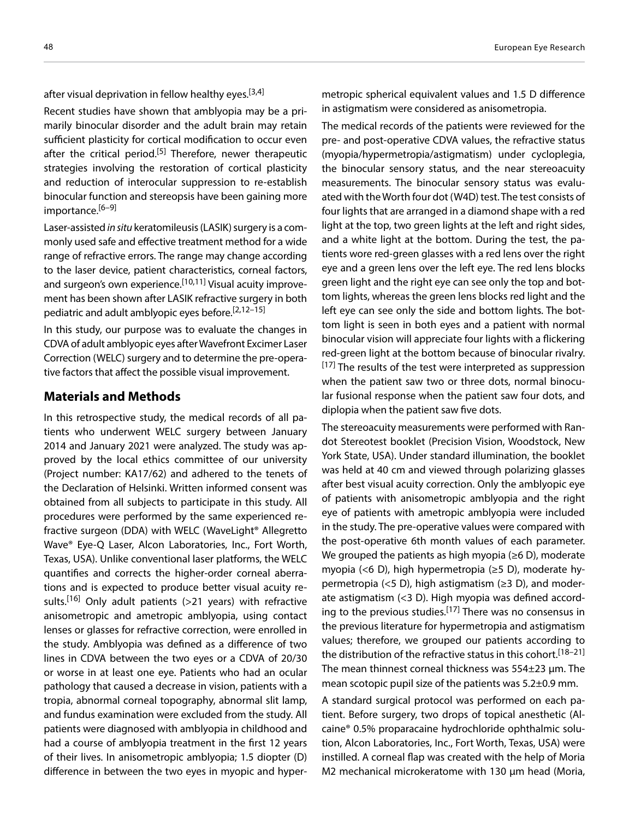after visual deprivation in fellow healthy eyes.<sup>[3,4]</sup>

Recent studies have shown that amblyopia may be a primarily binocular disorder and the adult brain may retain sufficient plasticity for cortical modification to occur even after the critical period.<sup>[5]</sup> Therefore, newer therapeutic strategies involving the restoration of cortical plasticity and reduction of interocular suppression to re-establish binocular function and stereopsis have been gaining more importance.<sup>[6–9]</sup>

Laser-assisted *in situ* keratomileusis (LASIK) surgery is a commonly used safe and effective treatment method for a wide range of refractive errors. The range may change according to the laser device, patient characteristics, corneal factors, and surgeon's own experience.<sup>[10,11]</sup> Visual acuity improvement has been shown after LASIK refractive surgery in both pediatric and adult amblyopic eyes before.[2,12–15]

In this study, our purpose was to evaluate the changes in CDVA of adult amblyopic eyes after Wavefront Excimer Laser Correction (WELC) surgery and to determine the pre-operative factors that affect the possible visual improvement.

## **Materials and Methods**

In this retrospective study, the medical records of all patients who underwent WELC surgery between January 2014 and January 2021 were analyzed. The study was approved by the local ethics committee of our university (Project number: KA17/62) and adhered to the tenets of the Declaration of Helsinki. Written informed consent was obtained from all subjects to participate in this study. All procedures were performed by the same experienced refractive surgeon (DDA) with WELC (WaveLight® Allegretto Wave® Eye-Q Laser, Alcon Laboratories, Inc., Fort Worth, Texas, USA). Unlike conventional laser platforms, the WELC quantifies and corrects the higher‐order corneal aberrations and is expected to produce better visual acuity results.<sup>[16]</sup> Only adult patients (>21 years) with refractive anisometropic and ametropic amblyopia, using contact lenses or glasses for refractive correction, were enrolled in the study. Amblyopia was defined as a difference of two lines in CDVA between the two eyes or a CDVA of 20/30 or worse in at least one eye. Patients who had an ocular pathology that caused a decrease in vision, patients with a tropia, abnormal corneal topography, abnormal slit lamp, and fundus examination were excluded from the study. All patients were diagnosed with amblyopia in childhood and had a course of amblyopia treatment in the first 12 years of their lives. In anisometropic amblyopia; 1.5 diopter (D) difference in between the two eyes in myopic and hypermetropic spherical equivalent values and 1.5 D difference in astigmatism were considered as anisometropia.

The medical records of the patients were reviewed for the pre- and post-operative CDVA values, the refractive status (myopia/hypermetropia/astigmatism) under cycloplegia, the binocular sensory status, and the near stereoacuity measurements. The binocular sensory status was evaluated with the Worth four dot (W4D) test. The test consists of four lights that are arranged in a diamond shape with a red light at the top, two green lights at the left and right sides, and a white light at the bottom. During the test, the patients wore red-green glasses with a red lens over the right eye and a green lens over the left eye. The red lens blocks green light and the right eye can see only the top and bottom lights, whereas the green lens blocks red light and the left eye can see only the side and bottom lights. The bottom light is seen in both eyes and a patient with normal binocular vision will appreciate four lights with a flickering red-green light at the bottom because of binocular rivalry. [17] The results of the test were interpreted as suppression when the patient saw two or three dots, normal binocular fusional response when the patient saw four dots, and diplopia when the patient saw five dots.

The stereoacuity measurements were performed with Randot Stereotest booklet (Precision Vision, Woodstock, New York State, USA). Under standard illumination, the booklet was held at 40 cm and viewed through polarizing glasses after best visual acuity correction. Only the amblyopic eye of patients with anisometropic amblyopia and the right eye of patients with ametropic amblyopia were included in the study. The pre-operative values were compared with the post-operative 6th month values of each parameter. We grouped the patients as high myopia ( $\geq 6$  D), moderate myopia (<6 D), high hypermetropia (≥5 D), moderate hypermetropia (<5 D), high astigmatism ( $\geq$ 3 D), and moderate astigmatism (<3 D). High myopia was defined according to the previous studies.<sup>[17]</sup> There was no consensus in the previous literature for hypermetropia and astigmatism values; therefore, we grouped our patients according to the distribution of the refractive status in this cohort.<sup>[18–21]</sup> The mean thinnest corneal thickness was 554±23 µm. The mean scotopic pupil size of the patients was 5.2±0.9 mm.

A standard surgical protocol was performed on each patient. Before surgery, two drops of topical anesthetic (Alcaine® 0.5% proparacaine hydrochloride ophthalmic solution, Alcon Laboratories, Inc., Fort Worth, Texas, USA) were instilled. A corneal flap was created with the help of Moria M2 mechanical microkeratome with 130 μm head (Moria,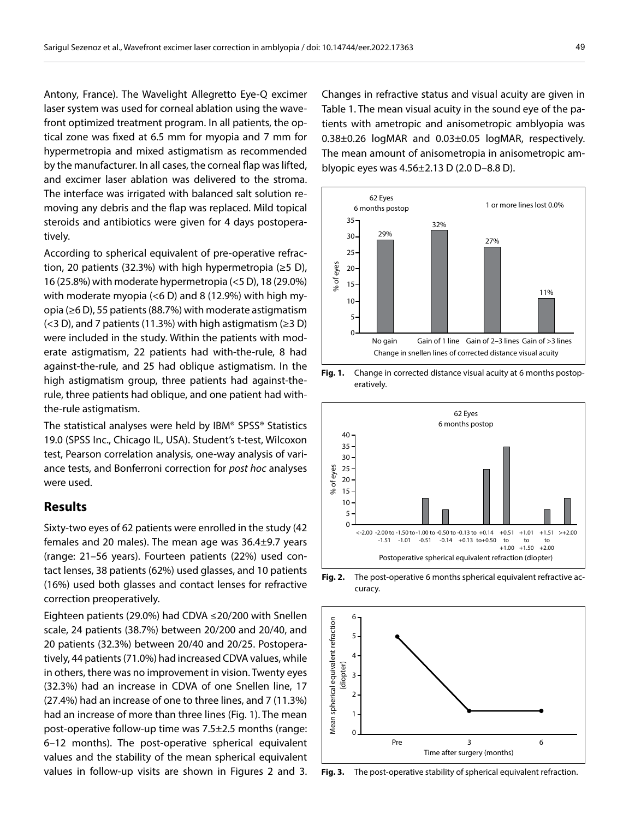Antony, France). The Wavelight Allegretto Eye-Q excimer laser system was used for corneal ablation using the wavefront optimized treatment program. In all patients, the optical zone was fixed at 6.5 mm for myopia and 7 mm for hypermetropia and mixed astigmatism as recommended by the manufacturer. In all cases, the corneal flap was lifted, and excimer laser ablation was delivered to the stroma. The interface was irrigated with balanced salt solution removing any debris and the flap was replaced. Mild topical steroids and antibiotics were given for 4 days postoperatively.

According to spherical equivalent of pre-operative refraction, 20 patients (32.3%) with high hypermetropia (≥5 D), 16 (25.8%) with moderate hypermetropia (<5 D), 18 (29.0%) with moderate myopia (<6 D) and 8 (12.9%) with high myopia (≥6 D), 55 patients (88.7%) with moderate astigmatism  $(<$ 3 D), and 7 patients (11.3%) with high astigmatism ( $\ge$ 3 D) were included in the study. Within the patients with moderate astigmatism, 22 patients had with-the-rule, 8 had against-the-rule, and 25 had oblique astigmatism. In the high astigmatism group, three patients had against-therule, three patients had oblique, and one patient had withthe-rule astigmatism.

The statistical analyses were held by IBM® SPSS® Statistics 19.0 (SPSS Inc., Chicago IL, USA). Student's t-test, Wilcoxon test, Pearson correlation analysis, one-way analysis of variance tests, and Bonferroni correction for *post hoc* analyses were used.

## **Results**

Sixty-two eyes of 62 patients were enrolled in the study (42 females and 20 males). The mean age was 36.4±9.7 years (range: 21–56 years). Fourteen patients (22%) used contact lenses, 38 patients (62%) used glasses, and 10 patients (16%) used both glasses and contact lenses for refractive correction preoperatively.

Eighteen patients (29.0%) had CDVA ≤20/200 with Snellen scale, 24 patients (38.7%) between 20/200 and 20/40, and 20 patients (32.3%) between 20/40 and 20/25. Postoperatively, 44 patients (71.0%) had increased CDVA values, while in others, there was no improvement in vision. Twenty eyes (32.3%) had an increase in CDVA of one Snellen line, 17 (27.4%) had an increase of one to three lines, and 7 (11.3%) had an increase of more than three lines (Fig. 1). The mean post-operative follow-up time was 7.5±2.5 months (range: 6–12 months). The post-operative spherical equivalent values and the stability of the mean spherical equivalent values in follow-up visits are shown in Figures 2 and 3.

Changes in refractive status and visual acuity are given in Table 1. The mean visual acuity in the sound eye of the patients with ametropic and anisometropic amblyopia was 0.38±0.26 logMAR and 0.03±0.05 logMAR, respectively. The mean amount of anisometropia in anisometropic amblyopic eyes was 4.56±2.13 D (2.0 D–8.8 D).











**Fig. 3.** The post-operative stability of spherical equivalent refraction.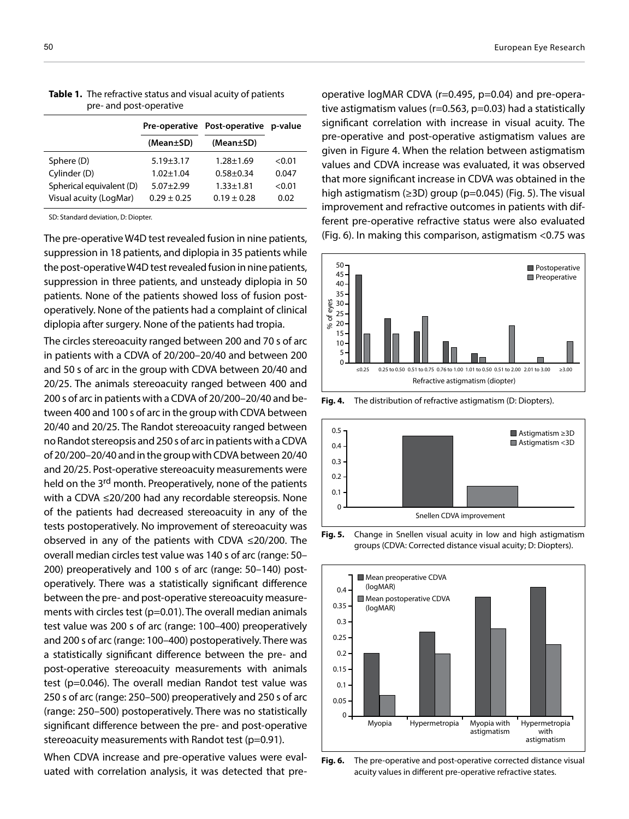|                          |                 | Pre-operative Post-operative p-value |        |
|--------------------------|-----------------|--------------------------------------|--------|
|                          | (Mean±SD)       | (Mean±SD)                            |        |
| Sphere (D)               | $5.19 \pm 3.17$ | $1.28 + 1.69$                        | < 0.01 |
| Cylinder (D)             | $1.02 + 1.04$   | $0.58 + 0.34$                        | 0.047  |
| Spherical equivalent (D) | $5.07 + 2.99$   | $1.33 \pm 1.81$                      | < 0.01 |
| Visual acuity (LogMar)   | $0.29 + 0.25$   | $0.19 + 0.28$                        | 0.02   |

| Table 1. The refractive status and visual acuity of patients |
|--------------------------------------------------------------|
| pre- and post-operative                                      |

SD: Standard deviation, D: Diopter.

The pre-operative W4D test revealed fusion in nine patients, suppression in 18 patients, and diplopia in 35 patients while the post-operative W4D test revealed fusion in nine patients, suppression in three patients, and unsteady diplopia in 50 patients. None of the patients showed loss of fusion postoperatively. None of the patients had a complaint of clinical diplopia after surgery. None of the patients had tropia.

The circles stereoacuity ranged between 200 and 70 s of arc in patients with a CDVA of 20/200–20/40 and between 200 and 50 s of arc in the group with CDVA between 20/40 and 20/25. The animals stereoacuity ranged between 400 and 200 s of arc in patients with a CDVA of 20/200–20/40 and between 400 and 100 s of arc in the group with CDVA between 20/40 and 20/25. The Randot stereoacuity ranged between no Randot stereopsis and 250 s of arc in patients with a CDVA of 20/200–20/40 and in the group with CDVA between 20/40 and 20/25. Post-operative stereoacuity measurements were held on the 3<sup>rd</sup> month. Preoperatively, none of the patients with a CDVA ≤20/200 had any recordable stereopsis. None of the patients had decreased stereoacuity in any of the tests postoperatively. No improvement of stereoacuity was observed in any of the patients with CDVA ≤20/200. The overall median circles test value was 140 s of arc (range: 50– 200) preoperatively and 100 s of arc (range: 50–140) postoperatively. There was a statistically significant difference between the pre- and post-operative stereoacuity measurements with circles test ( $p=0.01$ ). The overall median animals test value was 200 s of arc (range: 100–400) preoperatively and 200 s of arc (range: 100–400) postoperatively. There was a statistically significant difference between the pre- and post-operative stereoacuity measurements with animals test (p=0.046). The overall median Randot test value was 250 s of arc (range: 250–500) preoperatively and 250 s of arc (range: 250–500) postoperatively. There was no statistically significant difference between the pre- and post-operative stereoacuity measurements with Randot test (p=0.91).

When CDVA increase and pre-operative values were evaluated with correlation analysis, it was detected that pre-

operative logMAR CDVA (r=0.495, p=0.04) and pre-operative astigmatism values (r=0.563, p=0.03) had a statistically significant correlation with increase in visual acuity. The pre-operative and post-operative astigmatism values are given in Figure 4. When the relation between astigmatism values and CDVA increase was evaluated, it was observed that more significant increase in CDVA was obtained in the high astigmatism ( $\geq$ 3D) group (p=0.045) (Fig. 5). The visual improvement and refractive outcomes in patients with different pre-operative refractive status were also evaluated (Fig. 6). In making this comparison, astigmatism <0.75 was





**Fig. 5.** Change in Snellen visual acuity in low and high astigmatism groups (CDVA: Corrected distance visual acuity; D: Diopters).



**Fig. 6.** The pre-operative and post-operative corrected distance visual acuity values in different pre-operative refractive states.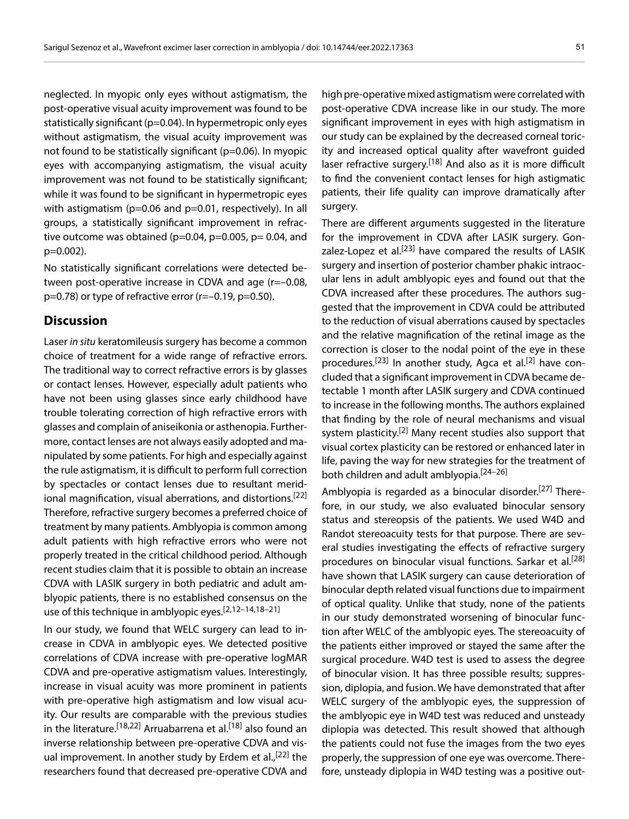neglected. In myopic only eyes without astigmatism, the post-operative visual acuity improvement was found to be statistically significant (p=0.04). In hypermetropic only eyes without astigmatism, the visual acuity improvement was not found to be statistically significant (p=0.06). In myopic eyes with accompanying astigmatism, the visual acuity improvement was not found to be statistically significant; while it was found to be significant in hypermetropic eyes with astigmatism (p=0.06 and p=0.01, respectively). In all groups, a statistically significant improvement in refractive outcome was obtained ( $p=0.04$ ,  $p=0.005$ ,  $p=0.04$ , and p=0.002).

No statistically significant correlations were detected between post-operative increase in CDVA and age (r=–0.08,  $p=0.78$ ) or type of refractive error (r= $-0.19$ ,  $p=0.50$ ).

## **Discussion**

Laser *in situ* keratomileusis surgery has become a common choice of treatment for a wide range of refractive errors. The traditional way to correct refractive errors is by glasses or contact lenses. However, especially adult patients who have not been using glasses since early childhood have trouble tolerating correction of high refractive errors with glasses and complain of aniseikonia or asthenopia. Furthermore, contact lenses are not always easily adopted and manipulated by some patients. For high and especially against the rule astigmatism, it is difficult to perform full correction by spectacles or contact lenses due to resultant meridional magnification, visual aberrations, and distortions.<sup>[22]</sup> Therefore, refractive surgery becomes a preferred choice of treatment by many patients. Amblyopia is common among adult patients with high refractive errors who were not properly treated in the critical childhood period. Although recent studies claim that it is possible to obtain an increase CDVA with LASIK surgery in both pediatric and adult amblyopic patients, there is no established consensus on the use of this technique in amblyopic eyes.<sup>[2,12–14,18–21]</sup>

In our study, we found that WELC surgery can lead to increase in CDVA in amblyopic eyes. We detected positive correlations of CDVA increase with pre-operative logMAR CDVA and pre-operative astigmatism values. Interestingly, increase in visual acuity was more prominent in patients with pre-operative high astigmatism and low visual acuity. Our results are comparable with the previous studies in the literature.<sup>[18,22]</sup> Arruabarrena et al.<sup>[18]</sup> also found an inverse relationship between pre-operative CDVA and visual improvement. In another study by Erdem et al.,<sup>[22]</sup> the researchers found that decreased pre-operative CDVA and

high pre-operative mixed astigmatism were correlated with post-operative CDVA increase like in our study. The more significant improvement in eyes with high astigmatism in our study can be explained by the decreased corneal toricity and increased optical quality after wavefront guided laser refractive surgery.<sup>[18]</sup> And also as it is more difficult to find the convenient contact lenses for high astigmatic patients, their life quality can improve dramatically after surgery.

There are different arguments suggested in the literature for the improvement in CDVA after LASIK surgery. Gonzalez-Lopez et al.<sup>[23]</sup> have compared the results of LASIK surgery and insertion of posterior chamber phakic intraocular lens in adult amblyopic eyes and found out that the CDVA increased after these procedures. The authors suggested that the improvement in CDVA could be attributed to the reduction of visual aberrations caused by spectacles and the relative magnification of the retinal image as the correction is closer to the nodal point of the eye in these procedures.[23] In another study, Agca et al.[2] have concluded that a significant improvement in CDVA became detectable 1 month after LASIK surgery and CDVA continued to increase in the following months. The authors explained that finding by the role of neural mechanisms and visual system plasticity.<sup>[2]</sup> Many recent studies also support that visual cortex plasticity can be restored or enhanced later in life, paving the way for new strategies for the treatment of both children and adult amblyopia.[24–26]

Amblyopia is regarded as a binocular disorder.<sup>[27]</sup> Therefore, in our study, we also evaluated binocular sensory status and stereopsis of the patients. We used W4D and Randot stereoacuity tests for that purpose. There are several studies investigating the effects of refractive surgery procedures on binocular visual functions. Sarkar et al.<sup>[28]</sup> have shown that LASIK surgery can cause deterioration of binocular depth related visual functions due to impairment of optical quality. Unlike that study, none of the patients in our study demonstrated worsening of binocular function after WELC of the amblyopic eyes. The stereoacuity of the patients either improved or stayed the same after the surgical procedure. W4D test is used to assess the degree of binocular vision. It has three possible results; suppression, diplopia, and fusion. We have demonstrated that after WELC surgery of the amblyopic eyes, the suppression of the amblyopic eye in W4D test was reduced and unsteady diplopia was detected. This result showed that although the patients could not fuse the images from the two eyes properly, the suppression of one eye was overcome. Therefore, unsteady diplopia in W4D testing was a positive out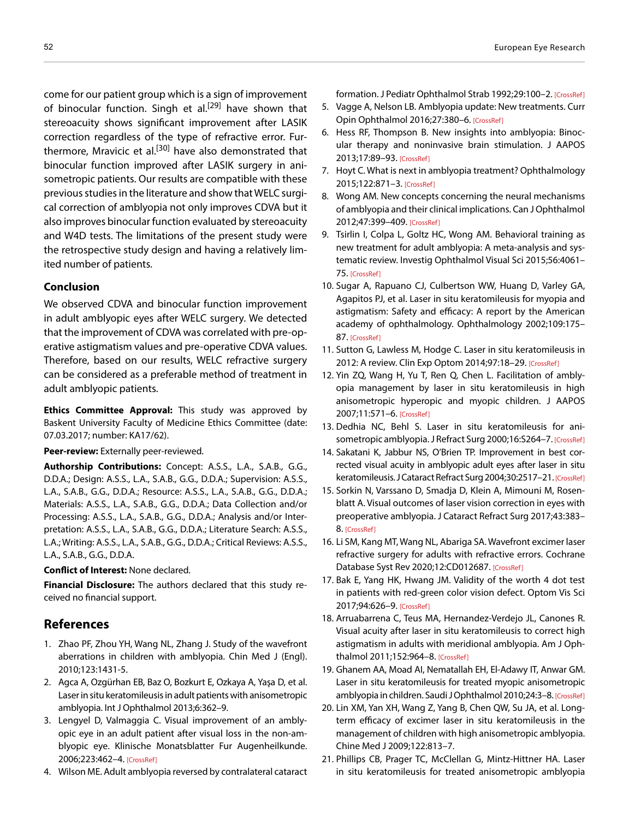come for our patient group which is a sign of improvement of binocular function. Singh et al.<sup>[29]</sup> have shown that stereoacuity shows significant improvement after LASIK correction regardless of the type of refractive error. Furthermore, Mravicic et al.<sup>[30]</sup> have also demonstrated that binocular function improved after LASIK surgery in anisometropic patients. Our results are compatible with these previous studies in the literature and show that WELC surgical correction of amblyopia not only improves CDVA but it also improves binocular function evaluated by stereoacuity and W4D tests. The limitations of the present study were the retrospective study design and having a relatively limited number of patients.

### **Conclusion**

We observed CDVA and binocular function improvement in adult amblyopic eyes after WELC surgery. We detected that the improvement of CDVA was correlated with pre-operative astigmatism values and pre-operative CDVA values. Therefore, based on our results, WELC refractive surgery can be considered as a preferable method of treatment in adult amblyopic patients.

**Ethics Committee Approval:** This study was approved by Baskent University Faculty of Medicine Ethics Committee (date: 07.03.2017; number: KA17/62).

#### **Peer-review:** Externally peer-reviewed.

**Authorship Contributions:** Concept: A.S.S., L.A., S.A.B., G.G., D.D.A.; Design: A.S.S., L.A., S.A.B., G.G., D.D.A.; Supervision: A.S.S., L.A., S.A.B., G.G., D.D.A.; Resource: A.S.S., L.A., S.A.B., G.G., D.D.A.; Materials: A.S.S., L.A., S.A.B., G.G., D.D.A.; Data Collection and/or Processing: A.S.S., L.A., S.A.B., G.G., D.D.A.; Analysis and/or Interpretation: A.S.S., L.A., S.A.B., G.G., D.D.A.; Literature Search: A.S.S., L.A.; Writing: A.S.S., L.A., S.A.B., G.G., D.D.A.; Critical Reviews: A.S.S., L.A., S.A.B., G.G., D.D.A.

### **Conflict of Interest:** None declared.

**Financial Disclosure:** The authors declared that this study received no financial support.

## **References**

- 1. Zhao PF, Zhou YH, Wang NL, Zhang J. Study of the wavefront aberrations in children with amblyopia. Chin Med J (Engl). 2010;123:1431-5.
- 2. Agca A, Ozgürhan EB, Baz O, Bozkurt E, Ozkaya A, Yaşa D, et al. Laser in situ keratomileusis in adult patients with anisometropic amblyopia. Int J Ophthalmol 2013;6:362–9.
- 3. Lengyel D, Valmaggia C. Visual improvement of an amblyopic eye in an adult patient after visual loss in the non-amblyopic eye. Klinische Monatsblatter Fur Augenheilkunde. 2006;223:462–[4. \[CrossRef\]](https://doi.org/10.1055/s-2006-926596)
- 4. Wilson ME. Adult amblyopia reversed by contralateral cataract

formation. J Pediatr Ophthalmol Strab 1992;29:100–[2. \[CrossRef\]](https://doi.org/10.3928/0191-3913-19920301-09)

- 5. Vagge A, Nelson LB. Amblyopia update: New treatments. Curr Opin Ophthalmol 2016;27:380–[6. \[CrossRef\]](https://doi.org/10.1097/ICU.0000000000000293)
- 6. Hess RF, Thompson B. New insights into amblyopia: Binocular therapy and noninvasive brain stimulation. J AAPOS 2013;17:89–9[3. \[CrossRef\]](https://doi.org/10.1016/j.jaapos.2012.10.018)
- 7. Hoyt C. What is next in amblyopia treatment? Ophthalmology 2015;122:871–[3. \[CrossRef\]](https://doi.org/10.1016/j.ophtha.2015.02.015)
- 8. Wong AM. New concepts concerning the neural mechanisms of amblyopia and their clinical implications. Can J Ophthalmol 2012;47:399–40[9. \[CrossRef\]](https://doi.org/10.1167/iovs.15-16583)
- 9. Tsirlin I, Colpa L, Goltz HC, Wong AM. Behavioral training as new treatment for adult amblyopia: A meta-analysis and systematic review. Investig Ophthalmol Visual Sci 2015;56:4061– 7[5. \[CrossRef\]](https://doi.org/10.1167/iovs.15-16583)
- 10. Sugar A, Rapuano CJ, Culbertson WW, Huang D, Varley GA, Agapitos PJ, et al. Laser in situ keratomileusis for myopia and astigmatism: Safety and efficacy: A report by the American ac[ademy of o](https://doi.org/10.1016/S0161-6420(01)00966-6)phthalmology. Ophthalmology 2002;109:175– 87. [CrossRef]
- 11. Sutton G, Lawless M, Hodge C. Laser in situ keratomileusis in 2012: A review. Clin Exp Optom 2014;97:18-[29. \[CrossRef\]](https://doi.org/10.1111/cxo.12075)
- 12. Yin ZQ, Wang H, Yu T, Ren Q, Chen L. Facilitation of amblyopia management by laser in situ keratomileusis in high anisometropic hyperopic and myopic children. J AAPOS 2007;11:571–[6. \[CrossRef\]](https://doi.org/10.1016/j.jaapos.2007.04.014)
- 13. Dedhia NC, Behl S. Laser in situ keratomileusis for ani-sometropic amblyopia. J Refract Surg 2000;16:S264-[7. \[CrossRef\]](https://doi.org/10.3928/1081-597X-20000302-15)
- 14. Sakatani K, Jabbur NS, O'Brien TP. Improvement in best corrected visual acuity in amblyopic adult eyes after laser in situ keratomileusis. J Cataract Refract Surg 2004;30:2517-2[1. \[CrossRef\]](https://doi.org/10.1016/j.jcrs.2004.06.026)
- 15. Sorkin N, Varssano D, Smadja D, Klein A, Mimouni M, Rosenblatt A. Visual outcomes of laser vision correction in eyes with [preoperative amb](https://doi.org/10.1016/j.jcrs.2016.12.029)lyopia. J Cataract Refract Surg 2017;43:383– 8. [CrossRef]
- 16. Li SM, Kang MT, Wang NL, Abariga SA. Wavefront excimer laser refractive surgery for adults with refractive errors. Cochrane Database Syst Rev 2020;12:CD012687. [\[CrossRef\]](https://doi.org/10.1002/14651858.CD012687.pub2)
- 17. Bak E, Yang HK, Hwang JM. Validity of the worth 4 dot test in patients with red-green color vision defect. Optom Vis Sci 2017;94:626–9[. \[CrossRef\]](https://doi.org/10.1097/OPX.0000000000001058)
- 18. Arruabarrena C, Teus MA, Hernandez-Verdejo JL, Canones R. Visual acuity after laser in situ keratomileusis to correct high astigmatism in adults with meridional amblyopia. Am J Ophthalmol 2011;152:964–[8. \[CrossRef\]](https://doi.org/10.1016/j.ajo.2011.05.014)
- 19. Ghanem AA, Moad AI, Nematallah EH, El-Adawy IT, Anwar GM. Laser in situ keratomileusis for treated myopic anisometropic amblyopia in children. Saudi J Ophthalmol 2010;24:3–[8. \[CrossRef\]](https://doi.org/10.1016/j.sjopt.2009.12.001)
- 20. Lin XM, Yan XH, Wang Z, Yang B, Chen QW, Su JA, et al. Longterm efficacy of excimer laser in situ keratomileusis in the management of children with high anisometropic amblyopia. Chine Med J 2009;122:813–7.
- 21. Phillips CB, Prager TC, McClellan G, Mintz-Hittner HA. Laser in situ keratomileusis for treated anisometropic amblyopia